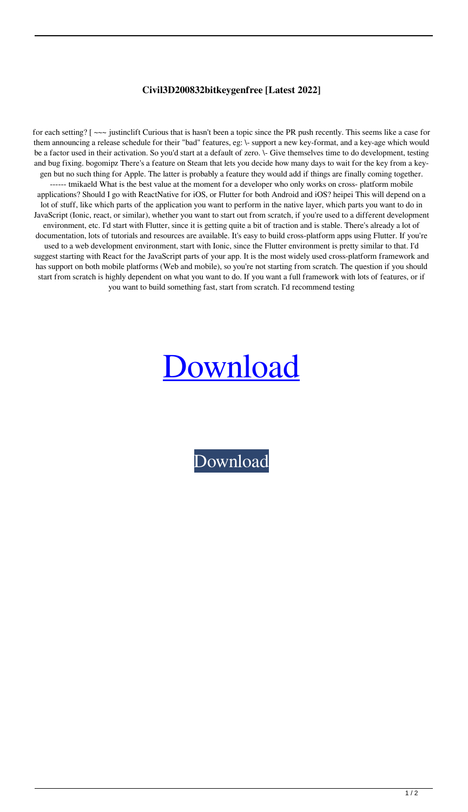## **Civil3D200832bitkeygenfree [Latest 2022]**

for each setting? [ $\sim\sim$  justinclift Curious that is hasn't been a topic since the PR push recently. This seems like a case for them announcing a release schedule for their "bad" features, eg: \- support a new key-format, and a key-age which would be a factor used in their activation. So you'd start at a default of zero. \- Give themselves time to do development, testing and bug fixing. bogomipz There's a feature on Steam that lets you decide how many days to wait for the key from a keygen but no such thing for Apple. The latter is probably a feature they would add if things are finally coming together. ------ tmikaeld What is the best value at the moment for a developer who only works on cross- platform mobile applications? Should I go with ReactNative for iOS, or Flutter for both Android and iOS? heipei This will depend on a lot of stuff, like which parts of the application you want to perform in the native layer, which parts you want to do in JavaScript (Ionic, react, or similar), whether you want to start out from scratch, if you're used to a different development environment, etc. I'd start with Flutter, since it is getting quite a bit of traction and is stable. There's already a lot of documentation, lots of tutorials and resources are available. It's easy to build cross-platform apps using Flutter. If you're used to a web development environment, start with Ionic, since the Flutter environment is pretty similar to that. I'd suggest starting with React for the JavaScript parts of your app. It is the most widely used cross-platform framework and has support on both mobile platforms (Web and mobile), so you're not starting from scratch. The question if you should start from scratch is highly dependent on what you want to do. If you want a full framework with lots of features, or if you want to build something fast, start from scratch. I'd recommend testing

## [Download](http://evacdir.com/compute/migr/mabry/miami/micheal/ZG93bmxvYWR8M0VrWVRKbWZId3hOalV5TkRZek1EVXdmSHd5TlRjMGZId29UU2tnY21WaFpDMWliRzluSUZ0R1lYTjBJRWRGVGww/pertinent/Q2l2aWwzRDIwMDgzMmJpdGtleWdlbmZyZWUQ2l.egreetings)

[Download](http://evacdir.com/compute/migr/mabry/miami/micheal/ZG93bmxvYWR8M0VrWVRKbWZId3hOalV5TkRZek1EVXdmSHd5TlRjMGZId29UU2tnY21WaFpDMWliRzluSUZ0R1lYTjBJRWRGVGww/pertinent/Q2l2aWwzRDIwMDgzMmJpdGtleWdlbmZyZWUQ2l.egreetings)